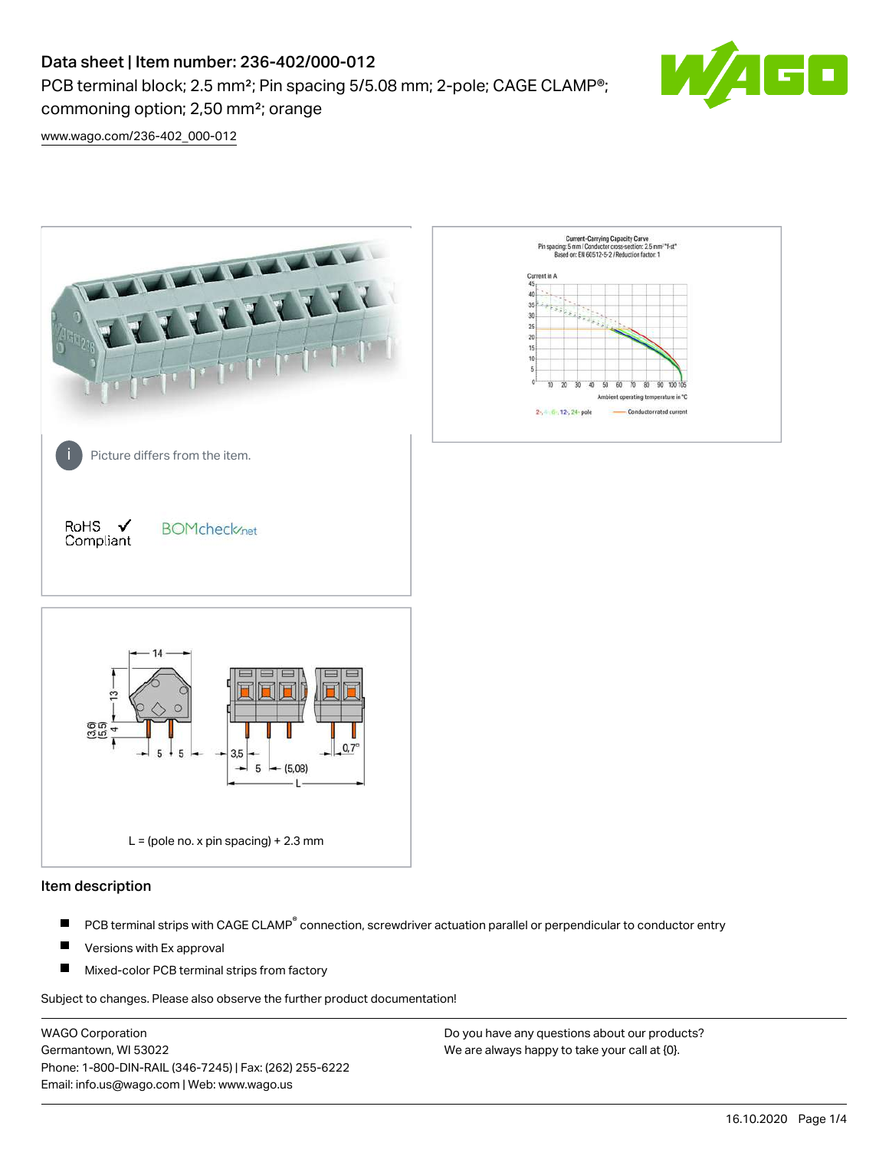# Data sheet | Item number: 236-402/000-012

PCB terminal block; 2.5 mm<sup>2</sup>; Pin spacing 5/5.08 mm; 2-pole; CAGE CLAMP<sup>®</sup>; commoning option; 2,50 mm²; orange



[www.wago.com/236-402\\_000-012](http://www.wago.com/236-402_000-012)



### Item description

- PCB terminal strips with CAGE CLAMP<sup>®</sup> connection, screwdriver actuation parallel or perpendicular to conductor entry П
- П Versions with Ex approval
- П Mixed-color PCB terminal strips from factory

Subject to changes. Please also observe the further product documentation!

WAGO Corporation Germantown, WI 53022 Phone: 1-800-DIN-RAIL (346-7245) | Fax: (262) 255-6222 Email: info.us@wago.com | Web: www.wago.us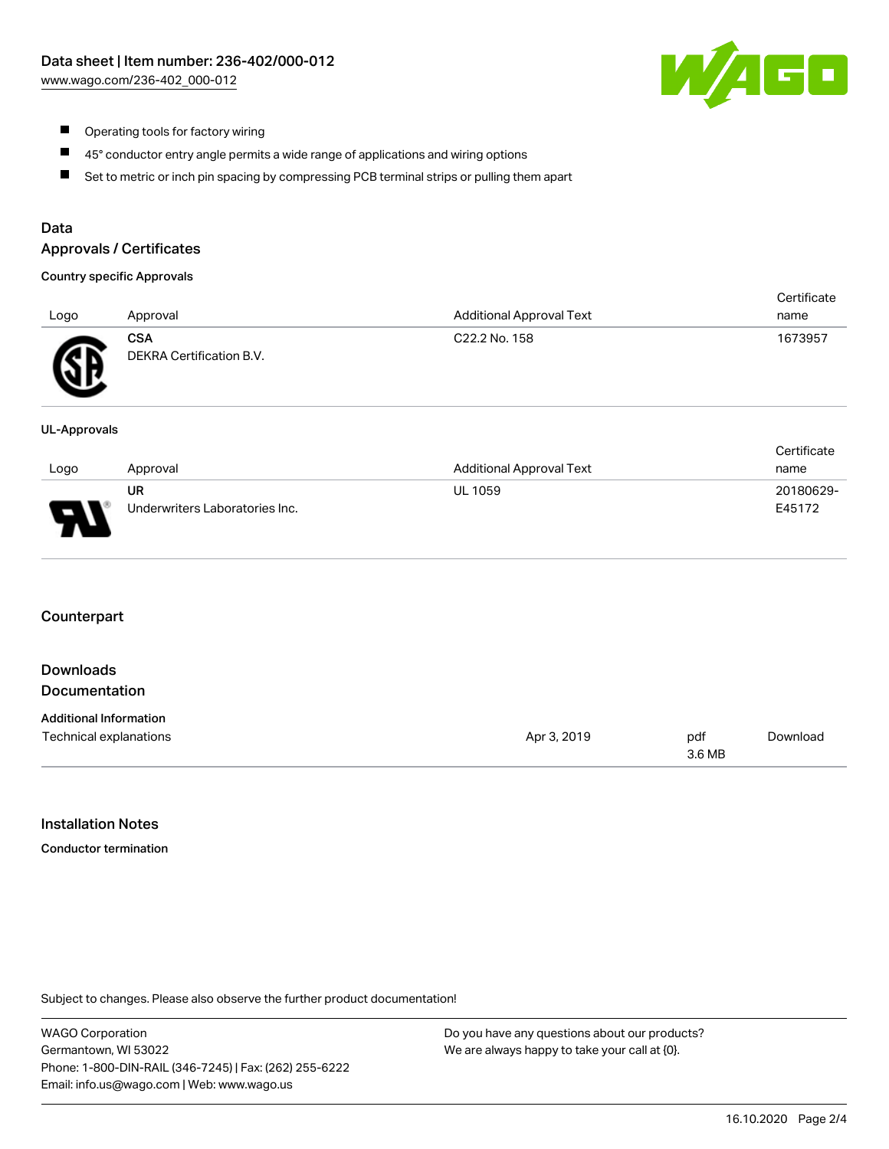

- $\blacksquare$ Operating tools for factory wiring
- $\blacksquare$ 45° conductor entry angle permits a wide range of applications and wiring options
- $\blacksquare$ Set to metric or inch pin spacing by compressing PCB terminal strips or pulling them apart

## Data

#### Approvals / Certificates

#### Country specific Approvals

|      |                                 |                                 | Certificate |
|------|---------------------------------|---------------------------------|-------------|
| Logo | Approval                        | <b>Additional Approval Text</b> | name        |
| Æ    | CSA<br>DEKRA Certification B.V. | C22.2 No. 158                   | 1673957     |

#### UL-Approvals

|      |                                |                          | Certificate |
|------|--------------------------------|--------------------------|-------------|
| Logo | Approval                       | Additional Approval Text | name        |
|      | UR                             | <b>UL 1059</b>           | 20180629-   |
| J    | Underwriters Laboratories Inc. |                          | E45172      |

#### **Counterpart**

| Downloads<br><b>Documentation</b>                       |             |        |          |
|---------------------------------------------------------|-------------|--------|----------|
| <b>Additional Information</b><br>Technical explanations | Apr 3, 2019 | pdf    | Download |
|                                                         |             | 3.6 MB |          |

#### Installation Notes

Conductor termination

Subject to changes. Please also observe the further product documentation!

WAGO Corporation Germantown, WI 53022 Phone: 1-800-DIN-RAIL (346-7245) | Fax: (262) 255-6222 Email: info.us@wago.com | Web: www.wago.us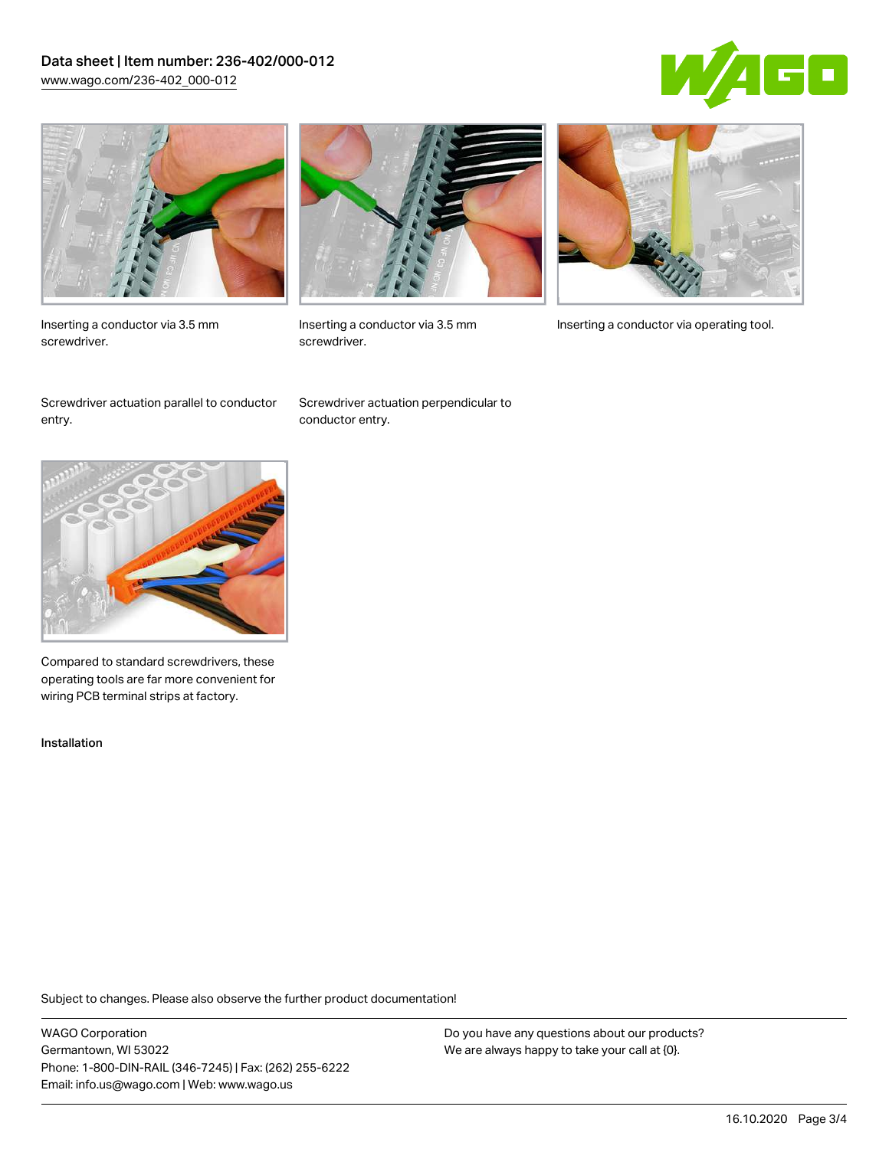## Data sheet | Item number: 236-402/000-012 [www.wago.com/236-402\\_000-012](http://www.wago.com/236-402_000-012)





Inserting a conductor via 3.5 mm screwdriver.



screwdriver.

Inserting a conductor via 3.5 mm Inserting a conductor via operating tool.

Screwdriver actuation parallel to conductor entry.

Screwdriver actuation perpendicular to conductor entry.



Compared to standard screwdrivers, these operating tools are far more convenient for wiring PCB terminal strips at factory.

Installation

Subject to changes. Please also observe the further product documentation!

WAGO Corporation Germantown, WI 53022 Phone: 1-800-DIN-RAIL (346-7245) | Fax: (262) 255-6222 Email: info.us@wago.com | Web: www.wago.us